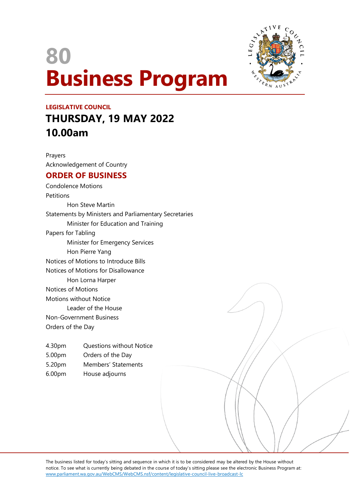# **80 Business Program**



## **LEGISLATIVE COUNCIL THURSDAY, 19 MAY 2022 10.00am**

Prayers Acknowledgement of Country

### **ORDER OF BUSINESS**

Condolence Motions **Petitions** Hon Steve Martin Statements by Ministers and Parliamentary Secretaries Minister for Education and Training Papers for Tabling Minister for Emergency Services Hon Pierre Yang Notices of Motions to Introduce Bills Notices of Motions for Disallowance Hon Lorna Harper Notices of Motions Motions without Notice Leader of the House Non-Government Business Orders of the Day

- 4.30pm Questions without Notice
- 5.00pm Orders of the Day
- 5.20pm Members' Statements
- 6.00pm House adjourns

The business listed for today's sitting and sequence in which it is to be considered may be altered by the House without notice. To see what is currently being debated in the course of today's sitting please see the electronic Business Program at: www.parliament.wa.gov.au/WebCMS/WebCMS.nsf/content/legislative-council-live-broadcast-lc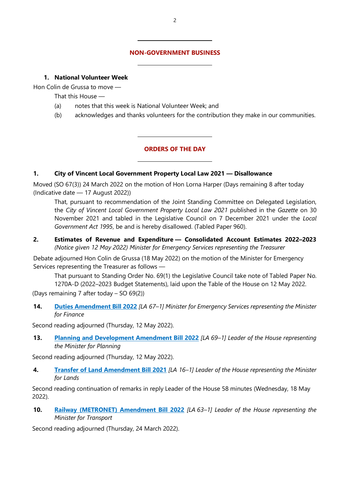#### **NON-GOVERNMENT BUSINESS**

#### **1. National Volunteer Week**

Hon Colin de Grussa to move —

That this House —

(a) notes that this week is National Volunteer Week; and

 $\overline{a}$ 

 $\overline{a}$ 

 $\overline{a}$ 

 $\overline{a}$ 

(b) acknowledges and thanks volunteers for the contribution they make in our communities.

#### **ORDERS OF THE DAY**

#### **1. City of Vincent Local Government Property Local Law 2021 — Disallowance**

Moved (SO 67(3)) 24 March 2022 on the motion of Hon Lorna Harper (Days remaining 8 after today (Indicative date — 17 August 2022))

That, pursuant to recommendation of the Joint Standing Committee on Delegated Legislation, the *City of Vincent Local Government Property Local Law 2021* published in the *Gazette* on 30 November 2021 and tabled in the Legislative Council on 7 December 2021 under the *Local Government Act 1995*, be and is hereby disallowed. (Tabled Paper 960).

**2. Estimates of Revenue and Expenditure — Consolidated Account Estimates 2022–2023** *(Notice given 12 May 2022) Minister for Emergency Services representing the Treasurer*

Debate adjourned Hon Colin de Grussa (18 May 2022) on the motion of the Minister for Emergency Services representing the Treasurer as follows —

That pursuant to Standing Order No. 69(1) the Legislative Council take note of Tabled Paper No. 1270A-D (2022–2023 Budget Statements), laid upon the Table of the House on 12 May 2022.

(Days remaining 7 after today – SO 69(2))

**14. [Duties Amendment Bill 2022](https://www.parliament.wa.gov.au/parliament/bills.nsf/BillProgressPopup?openForm&ParentUNID=12EC7C258C6613094825881B002EC0DD)** *[LA 67–1] Minister for Emergency Services representing the Minister for Finance*

Second reading adjourned (Thursday, 12 May 2022).

**13. [Planning and Development Amendment Bill 2022](https://www.parliament.wa.gov.au/parliament/bills.nsf/BillProgressPopup?openForm&ParentUNID=E7CAF4F76C9871814825883E000EB8F9)** *[LA 69–1] Leader of the House representing the Minister for Planning*

Second reading adjourned (Thursday, 12 May 2022).

**4. [Transfer of Land Amendment Bill 2021](https://www.parliament.wa.gov.au/parliament/bills.nsf/BillProgressPopup?openForm&ParentUNID=36820FFFEBF0647F482586E1000AD9C0)** *[LA 16–1] Leader of the House representing the Minister for Lands*

Second reading continuation of remarks in reply Leader of the House 58 minutes (Wednesday, 18 May 2022).

**10. [Railway \(METRONET\) Amendment Bill 2022](https://www.parliament.wa.gov.au/parliament/bills.nsf/BillProgressPopup?openForm&ParentUNID=76EC53B6A594256F482587F1001CD5B9)** *[LA 63–1] Leader of the House representing the Minister for Transport*

Second reading adjourned (Thursday, 24 March 2022).